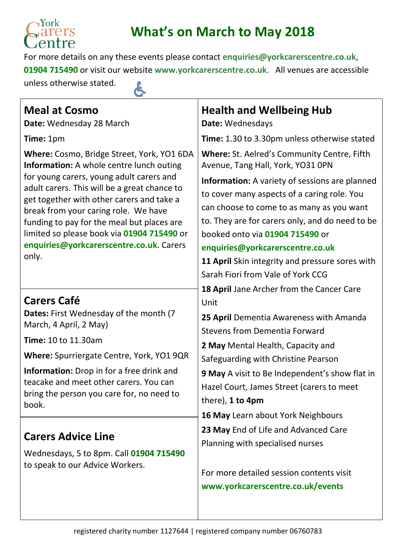

## **What's on March to May 2018**

For more details on any these events please contact **[enquiries@yorkcarerscentre.co.uk](mailto:enquiries@yorkcarerscentre.co.uk)**, **01904 715490** or visit our website **[www.yorkcarerscentre.co.uk](http://www.yorkcarerscentre.co.uk/)**. All venues are accessible unless otherwise stated.

| ۹ |  |  |
|---|--|--|
|   |  |  |
|   |  |  |
|   |  |  |
|   |  |  |
|   |  |  |
|   |  |  |

| <b>Meal at Cosmo</b><br>Date: Wednesday 28 March                                                                                          | <b>Health and Wellbeing Hub</b><br>Date: Wednesdays                                                                                                   |  |
|-------------------------------------------------------------------------------------------------------------------------------------------|-------------------------------------------------------------------------------------------------------------------------------------------------------|--|
| Time: 1pm                                                                                                                                 | Time: 1.30 to 3.30pm unless otherwise stated                                                                                                          |  |
| Where: Cosmo, Bridge Street, York, YO1 6DA<br><b>Information:</b> A whole centre lunch outing                                             | Where: St. Aelred's Community Centre, Fifth<br>Avenue, Tang Hall, York, YO31 0PN                                                                      |  |
| for young carers, young adult carers and<br>adult carers. This will be a great chance to                                                  | <b>Information:</b> A variety of sessions are planned                                                                                                 |  |
| get together with other carers and take a<br>break from your caring role. We have                                                         | to cover many aspects of a caring role. You<br>can choose to come to as many as you want                                                              |  |
| funding to pay for the meal but places are                                                                                                | to. They are for carers only, and do need to be                                                                                                       |  |
| limited so please book via 01904 715490 or<br>enquiries@yorkcarerscentre.co.uk. Carers                                                    | booked onto via 01904 715490 or<br>enquiries@yorkcarerscentre.co.uk                                                                                   |  |
| only.                                                                                                                                     | 11 April Skin integrity and pressure sores with                                                                                                       |  |
|                                                                                                                                           | Sarah Fiori from Vale of York CCG                                                                                                                     |  |
| <b>Carers Café</b>                                                                                                                        | 18 April Jane Archer from the Cancer Care<br>Unit                                                                                                     |  |
| Dates: First Wednesday of the month (7<br>March, 4 April, 2 May)                                                                          | 25 April Dementia Awareness with Amanda<br><b>Stevens from Dementia Forward</b>                                                                       |  |
| <b>Time: 10 to 11.30am</b>                                                                                                                | 2 May Mental Health, Capacity and                                                                                                                     |  |
| Where: Spurriergate Centre, York, YO1 9QR                                                                                                 | Safeguarding with Christine Pearson                                                                                                                   |  |
| Information: Drop in for a free drink and<br>teacake and meet other carers. You can<br>bring the person you care for, no need to<br>book. | 9 May A visit to Be Independent's show flat in<br>Hazel Court, James Street (carers to meet<br>there), 1 to 4pm<br>16 May Learn about York Neighbours |  |
|                                                                                                                                           | 23 May End of Life and Advanced Care                                                                                                                  |  |
| <b>Carers Advice Line</b>                                                                                                                 | Planning with specialised nurses                                                                                                                      |  |
| Wednesdays, 5 to 8pm. Call 01904 715490<br>to speak to our Advice Workers.                                                                |                                                                                                                                                       |  |
|                                                                                                                                           | For more detailed session contents visit<br>www.yorkcarerscentre.co.uk/events                                                                         |  |